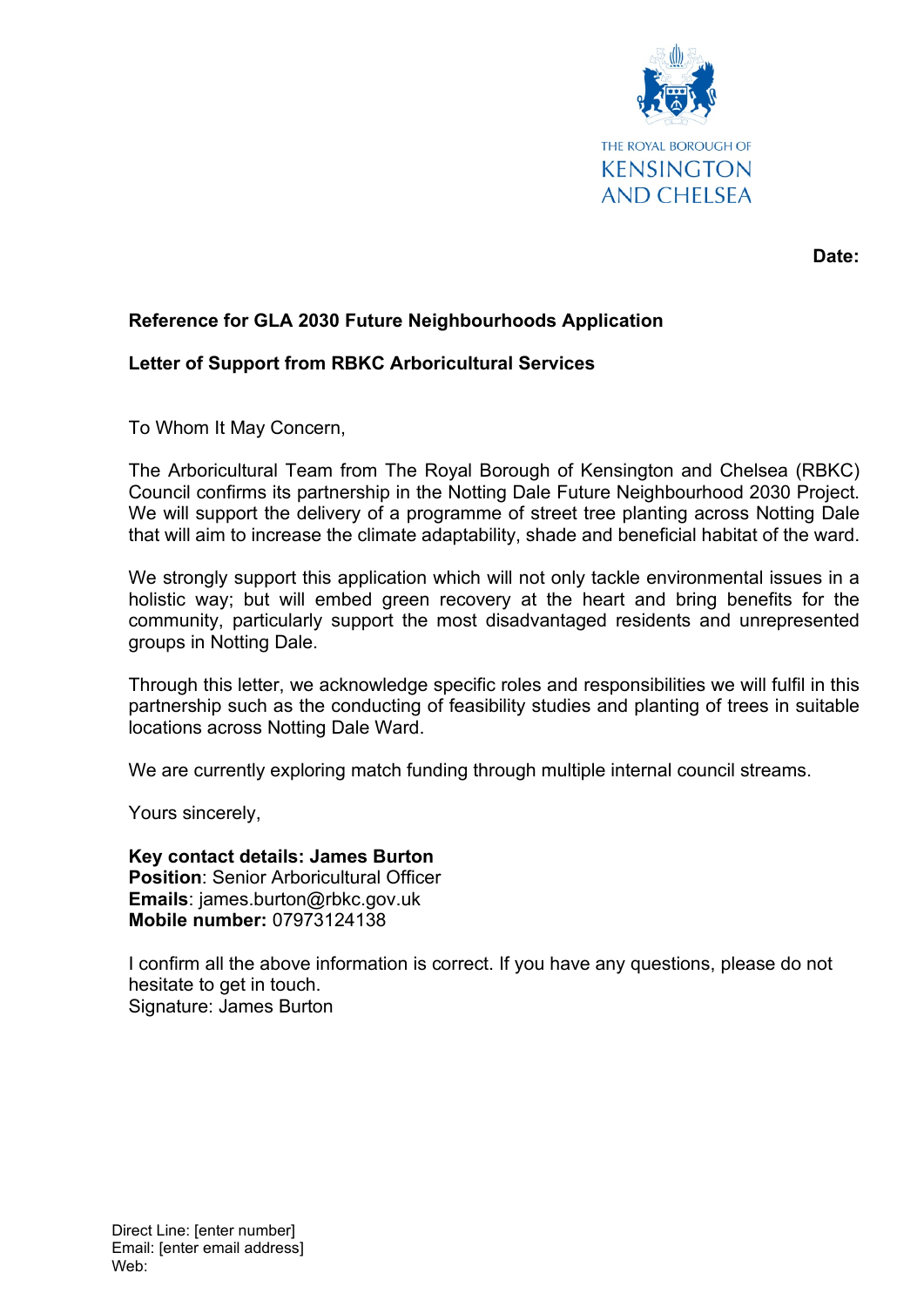

**Date:**

## **Reference for GLA 2030 Future Neighbourhoods Application**

## **Letter of Support from RBKC Arboricultural Services**

To Whom It May Concern,

The Arboricultural Team from The Royal Borough of Kensington and Chelsea (RBKC) Council confirms its partnership in the Notting Dale Future Neighbourhood 2030 Project. We will support the delivery of a programme of street tree planting across Notting Dale that will aim to increase the climate adaptability, shade and beneficial habitat of the ward.

We strongly support this application which will not only tackle environmental issues in a holistic way; but will embed green recovery at the heart and bring benefits for the community, particularly support the most disadvantaged residents and unrepresented groups in Notting Dale.

Through this letter, we acknowledge specific roles and responsibilities we will fulfil in this partnership such as the conducting of feasibility studies and planting of trees in suitable locations across Notting Dale Ward.

We are currently exploring match funding through multiple internal council streams.

Yours sincerely,

**Key contact details: James Burton Position**: Senior Arboricultural Officer **Emails**: james.burton@rbkc.gov.uk **Mobile number:** 07973124138

I confirm all the above information is correct. If you have any questions, please do not hesitate to get in touch. Signature: James Burton